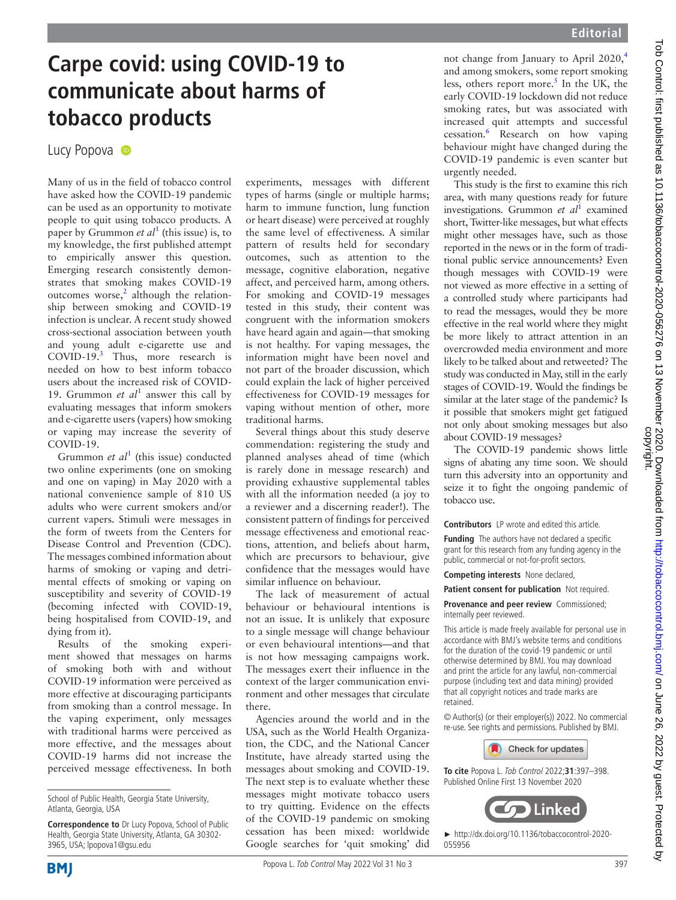## **Carpe covid: using COVID-19 to communicate about harms of tobacco products**

Lucy Popova **D** 

Many of us in the field of tobacco control have asked how the COVID-19 pandemic can be used as an opportunity to motivate people to quit using tobacco products. A paper by Grummon *et al*<sup>[1](#page-1-0)</sup> (this issue) is, to my knowledge, the first published attempt to empirically answer this question. Emerging research consistently demonstrates that smoking makes COVID-19 outcomes worse, $2$  although the relationship between smoking and COVID-19 infection is unclear. A recent study showed cross-sectional association between youth and young adult e-cigarette use and COVID-19.<sup>[3](#page-1-2)</sup> Thus, more research is needed on how to best inform tobacco users about the increased risk of COVID-[1](#page-1-0)9. Grummon *et al*<sup>1</sup> answer this call by evaluating messages that inform smokers and e-cigarette users (vapers) how smoking or vaping may increase the severity of COVID-19.

Grummon *et al*<sup>[1](#page-1-0)</sup> (this issue) conducted two online experiments (one on smoking and one on vaping) in May 2020 with a national convenience sample of 810 US adults who were current smokers and/or current vapers. Stimuli were messages in the form of tweets from the Centers for Disease Control and Prevention (CDC). The messages combined information about harms of smoking or vaping and detrimental effects of smoking or vaping on susceptibility and severity of COVID-19 (becoming infected with COVID-19, being hospitalised from COVID-19, and dying from it).

Results of the smoking experiment showed that messages on harms of smoking both with and without COVID-19 information were perceived as more effective at discouraging participants from smoking than a control message. In the vaping experiment, only messages with traditional harms were perceived as more effective, and the messages about COVID-19 harms did not increase the perceived message effectiveness. In both

**BMI** 

**Correspondence to** Dr Lucy Popova, School of Public Health, Georgia State University, Atlanta, GA 30302- 3965, USA; lpopova1@gsu.edu

experiments, messages with different types of harms (single or multiple harms; harm to immune function, lung function or heart disease) were perceived at roughly the same level of effectiveness. A similar pattern of results held for secondary outcomes, such as attention to the message, cognitive elaboration, negative affect, and perceived harm, among others. For smoking and COVID-19 messages tested in this study, their content was congruent with the information smokers have heard again and again—that smoking is not healthy. For vaping messages, the information might have been novel and not part of the broader discussion, which could explain the lack of higher perceived effectiveness for COVID-19 messages for vaping without mention of other, more traditional harms.

Several things about this study deserve commendation: registering the study and planned analyses ahead of time (which is rarely done in message research) and providing exhaustive supplemental tables with all the information needed (a joy to a reviewer and a discerning reader!). The consistent pattern of findings for perceived message effectiveness and emotional reactions, attention, and beliefs about harm, which are precursors to behaviour, give confidence that the messages would have similar influence on behaviour.

The lack of measurement of actual behaviour or behavioural intentions is not an issue. It is unlikely that exposure to a single message will change behaviour or even behavioural intentions—and that is not how messaging campaigns work. The messages exert their influence in the context of the larger communication environment and other messages that circulate there.

Agencies around the world and in the USA, such as the World Health Organization, the CDC, and the National Cancer Institute, have already started using the messages about smoking and COVID-19. The next step is to evaluate whether these messages might motivate tobacco users to try quitting. Evidence on the effects of the COVID-19 pandemic on smoking cessation has been mixed: worldwide Google searches for 'quit smoking' did

not change from January to April 2020,<sup>[4](#page-1-3)</sup> and among smokers, some report smoking less, others report more.<sup>5</sup> In the UK, the early COVID-19 lockdown did not reduce smoking rates, but was associated with increased quit attempts and successful cessation.[6](#page-1-5) Research on how vaping behaviour might have changed during the COVID-19 pandemic is even scanter but urgently needed.

This study is the first to examine this rich area, with many questions ready for future investigations. Grummon *et al*[1](#page-1-0) examined short, Twitter-like messages, but what effects might other messages have, such as those reported in the news or in the form of traditional public service announcements? Even though messages with COVID-19 were not viewed as more effective in a setting of a controlled study where participants had to read the messages, would they be more effective in the real world where they might be more likely to attract attention in an overcrowded media environment and more likely to be talked about and retweeted? The study was conducted in May, still in the early stages of COVID-19. Would the findings be similar at the later stage of the pandemic? Is it possible that smokers might get fatigued not only about smoking messages but also about COVID-19 messages?

The COVID-19 pandemic shows little signs of abating any time soon. We should turn this adversity into an opportunity and seize it to fight the ongoing pandemic of tobacco use.

**Contributors** LP wrote and edited this article.

**Funding** The authors have not declared a specific grant for this research from any funding agency in the public, commercial or not-for-profit sectors.

**Competing interests** None declared,

**Patient consent for publication** Not required.

**Provenance and peer review** Commissioned; internally peer reviewed.

This article is made freely available for personal use in accordance with BMJ's website terms and conditions for the duration of the covid-19 pandemic or until otherwise determined by BMJ. You may download and print the article for any lawful, non-commercial purpose (including text and data mining) provided that all copyright notices and trade marks are retained.

© Author(s) (or their employer(s)) 2022. No commercial re-use. See rights and permissions. Published by BMJ.



**To cite** Popova L. Tob Control 2022;**31**:397–398. Published Online First 13 November 2020



► [http://dx.doi.org/10.1136/tobaccocontrol-2020-](http://​dx.​doi.​org/​10.​1136/tobaccocontrol-2020-055956) [055956](http://​dx.​doi.​org/​10.​1136/tobaccocontrol-2020-055956)



School of Public Health, Georgia State University, Atlanta, Georgia, USA